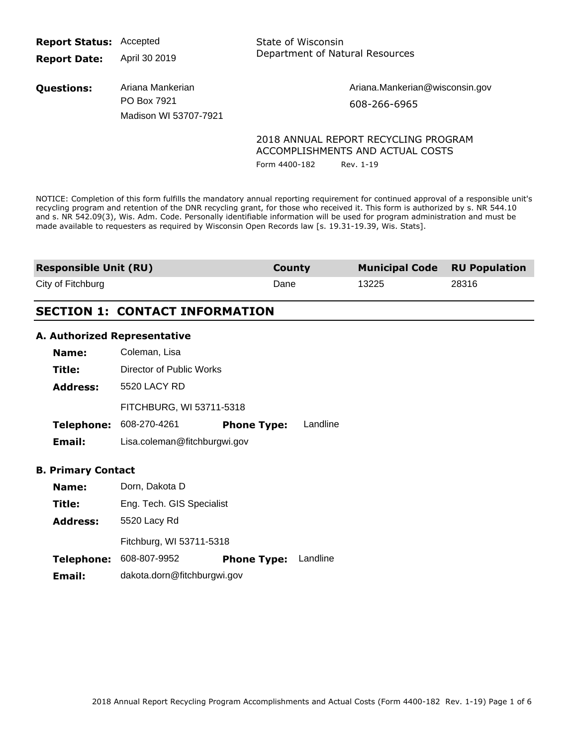**Report Status:** Accepted

**Report Date:** April 30 2019 State of Wisconsin Department of Natural Resources

**Questions:** Ariana Mankerian PO Box 7921 Madison WI 53707-7921 Ariana.Mankerian@wisconsin.gov 608-266-6965

## 2018 ANNUAL REPORT RECYCLING PROGRAM ACCOMPLISHMENTS AND ACTUAL COSTS

Form 4400-182 Rev. 1-19

NOTICE: Completion of this form fulfills the mandatory annual reporting requirement for continued approval of a responsible unit's recycling program and retention of the DNR recycling grant, for those who received it. This form is authorized by s. NR 544.10 and s. NR 542.09(3), Wis. Adm. Code. Personally identifiable information will be used for program administration and must be made available to requesters as required by Wisconsin Open Records law [s. 19.31-19.39, Wis. Stats].

| <b>Responsible Unit (RU)</b> | County | <b>Municipal Code</b> RU Population |       |
|------------------------------|--------|-------------------------------------|-------|
| City of Fitchburg            | Dane   | 13225                               | 28316 |

# **SECTION 1: CONTACT INFORMATION**

## **A. Authorized Representative**

| Name:             | Coleman, Lisa                |                    |          |
|-------------------|------------------------------|--------------------|----------|
| Title:            | Director of Public Works     |                    |          |
| <b>Address:</b>   | 5520 LACY RD                 |                    |          |
|                   | FITCHBURG, WI 53711-5318     |                    |          |
| <b>Telephone:</b> | 608-270-4261                 | <b>Phone Type:</b> | Landline |
| Email:            | Lisa.coleman@fitchburgwi.gov |                    |          |

#### **B. Primary Contact**

| Name:             | Dorn, Dakota D              |                             |  |  |
|-------------------|-----------------------------|-----------------------------|--|--|
| Title:            | Eng. Tech. GIS Specialist   |                             |  |  |
| <b>Address:</b>   | 5520 Lacy Rd                |                             |  |  |
|                   | Fitchburg, WI 53711-5318    |                             |  |  |
| <b>Telephone:</b> | 608-807-9952                | <b>Phone Type:</b> Landline |  |  |
| Email:            | dakota.dorn@fitchburgwi.gov |                             |  |  |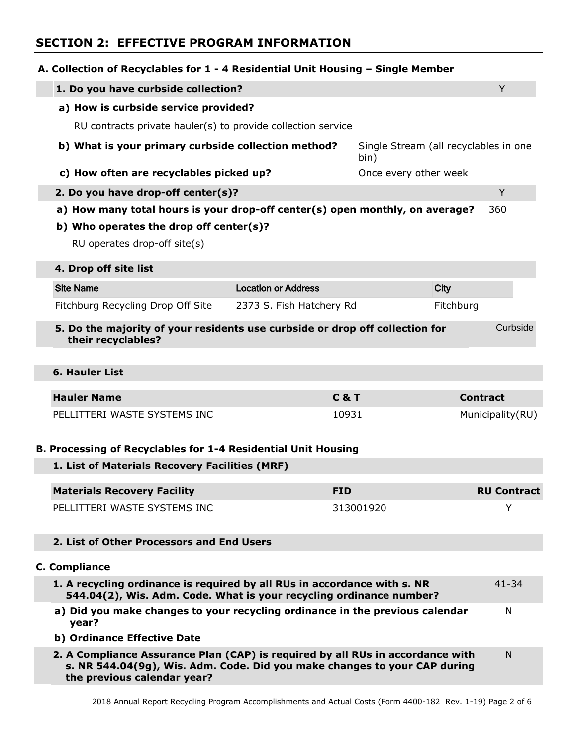# **SECTION 2: EFFECTIVE PROGRAM INFORMATION**

| A. Collection of Recyclables for 1 - 4 Residential Unit Housing - Single Member                                                                                                                                           |                            |                                               |                    |
|---------------------------------------------------------------------------------------------------------------------------------------------------------------------------------------------------------------------------|----------------------------|-----------------------------------------------|--------------------|
| 1. Do you have curbside collection?                                                                                                                                                                                       |                            |                                               | Y                  |
| a) How is curbside service provided?                                                                                                                                                                                      |                            |                                               |                    |
| RU contracts private hauler(s) to provide collection service                                                                                                                                                              |                            |                                               |                    |
| b) What is your primary curbside collection method?                                                                                                                                                                       |                            | Single Stream (all recyclables in one<br>bin) |                    |
| c) How often are recyclables picked up?                                                                                                                                                                                   |                            | Once every other week                         |                    |
| 2. Do you have drop-off center(s)?                                                                                                                                                                                        |                            |                                               | Y                  |
| a) How many total hours is your drop-off center(s) open monthly, on average?                                                                                                                                              |                            |                                               | 360                |
| b) Who operates the drop off center(s)?<br>RU operates drop-off site(s)                                                                                                                                                   |                            |                                               |                    |
| 4. Drop off site list                                                                                                                                                                                                     |                            |                                               |                    |
| <b>Site Name</b>                                                                                                                                                                                                          | <b>Location or Address</b> | <b>City</b>                                   |                    |
| Fitchburg Recycling Drop Off Site                                                                                                                                                                                         | 2373 S. Fish Hatchery Rd   | Fitchburg                                     |                    |
| 5. Do the majority of your residents use curbside or drop off collection for                                                                                                                                              |                            |                                               | Curbside           |
| their recyclables?                                                                                                                                                                                                        |                            |                                               |                    |
| <b>6. Hauler List</b>                                                                                                                                                                                                     |                            |                                               |                    |
| <b>Hauler Name</b>                                                                                                                                                                                                        |                            | <b>C&amp;T</b>                                | <b>Contract</b>    |
| PELLITTERI WASTE SYSTEMS INC                                                                                                                                                                                              |                            | 10931                                         | Municipality(RU)   |
| B. Processing of Recyclables for 1-4 Residential Unit Housing                                                                                                                                                             |                            |                                               |                    |
| 1. List of Materials Recovery Facilities (MRF)                                                                                                                                                                            |                            |                                               |                    |
| <b>Materials Recovery Facility</b>                                                                                                                                                                                        | <b>FID</b>                 |                                               | <b>RU Contract</b> |
| PELLITTERI WASTE SYSTEMS INC                                                                                                                                                                                              |                            | 313001920                                     | Y                  |
| 2. List of Other Processors and End Users                                                                                                                                                                                 |                            |                                               |                    |
| <b>C. Compliance</b>                                                                                                                                                                                                      |                            |                                               |                    |
| 1. A recycling ordinance is required by all RUs in accordance with s. NR<br>544.04(2), Wis. Adm. Code. What is your recycling ordinance number?                                                                           |                            |                                               | $41 - 34$          |
| a) Did you make changes to your recycling ordinance in the previous calendar<br>year?                                                                                                                                     |                            |                                               | N                  |
| b) Ordinance Effective Date<br>2. A Compliance Assurance Plan (CAP) is required by all RUs in accordance with<br>s. NR 544.04(9g), Wis. Adm. Code. Did you make changes to your CAP during<br>the previous calendar year? |                            |                                               | N                  |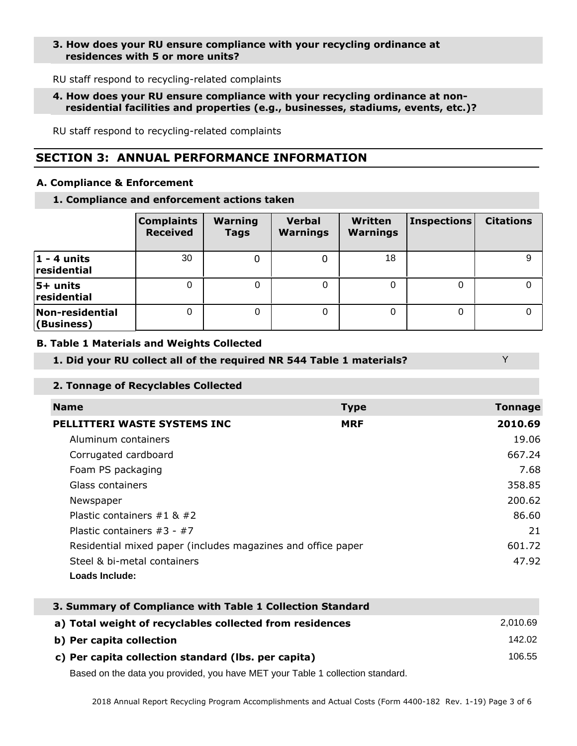# **3. How does your RU ensure compliance with your recycling ordinance at residences with 5 or more units?**

RU staff respond to recycling-related complaints

## **4. How does your RU ensure compliance with your recycling ordinance at non residential facilities and properties (e.g., businesses, stadiums, events, etc.)?**

RU staff respond to recycling-related complaints

# **SECTION 3: ANNUAL PERFORMANCE INFORMATION**

## **A. Compliance & Enforcement**

**1. Compliance and enforcement actions taken**

|                               | <b>Complaints</b><br><b>Received</b> | <b>Warning</b><br><b>Tags</b> | <b>Verbal</b><br><b>Warnings</b> | Written<br><b>Warnings</b> | <b>Inspections</b> | <b>Citations</b> |
|-------------------------------|--------------------------------------|-------------------------------|----------------------------------|----------------------------|--------------------|------------------|
| $ 1$ - 4 units<br>residential | 30                                   | 0                             |                                  | 18                         |                    |                  |
| $5+$ units<br>residential     |                                      |                               | 0                                | 0                          |                    |                  |
| Non-residential<br>(Business) | $\Omega$                             |                               | 0                                | 0                          | 0                  |                  |

## **B. Table 1 Materials and Weights Collected**

# **1. Did your RU collect all of the required NR 544 Table 1 materials?**

# **2. Tonnage of Recyclables Collected**

| <b>Name</b>                                                  | <b>Type</b> | <b>Tonnage</b> |
|--------------------------------------------------------------|-------------|----------------|
| PELLITTERI WASTE SYSTEMS INC                                 | <b>MRF</b>  | 2010.69        |
| Aluminum containers                                          |             | 19.06          |
| Corrugated cardboard                                         |             | 667.24         |
| Foam PS packaging                                            |             | 7.68           |
| Glass containers                                             |             | 358.85         |
| Newspaper                                                    |             | 200.62         |
| Plastic containers $\#1$ & $\#2$                             |             | 86.60          |
| Plastic containers $#3 - #7$                                 |             | 21             |
| Residential mixed paper (includes magazines and office paper |             | 601.72         |
| Steel & bi-metal containers                                  |             | 47.92          |
| Loads Include:                                               |             |                |

Y

| 3. Summary of Compliance with Table 1 Collection Standard |          |
|-----------------------------------------------------------|----------|
| a) Total weight of recyclables collected from residences  | 2.010.69 |
| b) Per capita collection                                  | 142.02   |
| c) Per capita collection standard (Ibs. per capita)       | 106.55   |

Based on the data you provided, you have MET your Table 1 collection standard.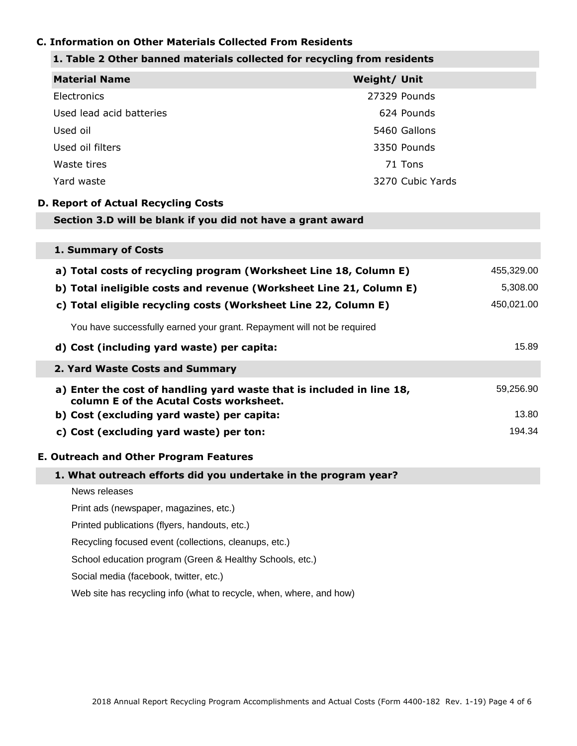# **C. Information on Other Materials Collected From Residents**

# **1. Table 2 Other banned materials collected for recycling from residents**

| <b>Material Name</b>                                                                                             | Weight/ Unit |                  |            |
|------------------------------------------------------------------------------------------------------------------|--------------|------------------|------------|
| Electronics                                                                                                      |              | 27329 Pounds     |            |
| Used lead acid batteries                                                                                         |              | 624 Pounds       |            |
| Used oil                                                                                                         |              | 5460 Gallons     |            |
| Used oil filters                                                                                                 |              | 3350 Pounds      |            |
| Waste tires                                                                                                      |              | 71 Tons          |            |
| Yard waste                                                                                                       |              | 3270 Cubic Yards |            |
| <b>D. Report of Actual Recycling Costs</b>                                                                       |              |                  |            |
| Section 3.D will be blank if you did not have a grant award                                                      |              |                  |            |
|                                                                                                                  |              |                  |            |
| 1. Summary of Costs                                                                                              |              |                  |            |
| a) Total costs of recycling program (Worksheet Line 18, Column E)                                                |              |                  | 455,329.00 |
| b) Total ineligible costs and revenue (Worksheet Line 21, Column E)                                              |              |                  | 5,308.00   |
| c) Total eligible recycling costs (Worksheet Line 22, Column E)                                                  |              |                  | 450,021.00 |
| You have successfully earned your grant. Repayment will not be required                                          |              |                  |            |
| d) Cost (including yard waste) per capita:                                                                       |              |                  | 15.89      |
| 2. Yard Waste Costs and Summary                                                                                  |              |                  |            |
| a) Enter the cost of handling yard waste that is included in line 18,<br>column E of the Acutal Costs worksheet. |              |                  | 59,256.90  |
| b) Cost (excluding yard waste) per capita:                                                                       |              |                  | 13.80      |
| c) Cost (excluding yard waste) per ton:                                                                          |              |                  | 194.34     |
| <b>E. Outreach and Other Program Features</b>                                                                    |              |                  |            |
| 1. What outreach efforts did you undertake in the program year?                                                  |              |                  |            |
| News releases                                                                                                    |              |                  |            |
| Print ads (newspaper, magazines, etc.)                                                                           |              |                  |            |
| Printed publications (flyers, handouts, etc.)                                                                    |              |                  |            |
| Recycling focused event (collections, cleanups, etc.)                                                            |              |                  |            |
| School education program (Green & Healthy Schools, etc.)                                                         |              |                  |            |
| Social media (facebook, twitter, etc.)                                                                           |              |                  |            |
| Web site has recycling info (what to recycle, when, where, and how)                                              |              |                  |            |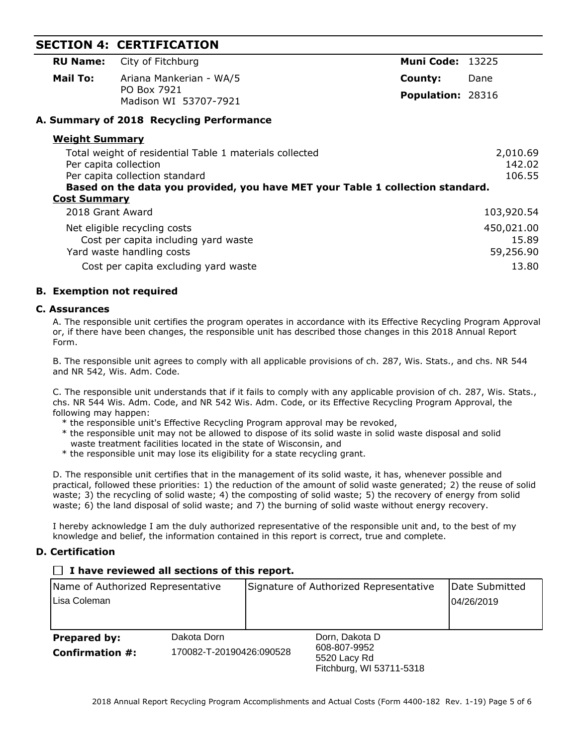# **SECTION 4: CERTIFICATION**

|          | <b>RU Name:</b> City of Fitchburg    | <b>Muni Code: 13225</b>  |      |
|----------|--------------------------------------|--------------------------|------|
| Mail To: | Ariana Mankerian - WA/5              | County:                  | Dane |
|          | PO Box 7921<br>Madison WI 53707-7921 | <b>Population: 28316</b> |      |

# **A. Summary of 2018 Recycling Performance**

| <b>Weight Summary</b>                                                          |            |
|--------------------------------------------------------------------------------|------------|
| Total weight of residential Table 1 materials collected                        | 2,010.69   |
| Per capita collection                                                          | 142.02     |
| Per capita collection standard                                                 | 106.55     |
| Based on the data you provided, you have MET your Table 1 collection standard. |            |
| <b>Cost Summary</b>                                                            |            |
| 2018 Grant Award                                                               | 103,920.54 |
| Net eligible recycling costs                                                   | 450,021.00 |
| Cost per capita including yard waste                                           | 15.89      |
| Yard waste handling costs                                                      | 59,256.90  |
| Cost per capita excluding yard waste                                           | 13.80      |

# **B. Exemption not required**

# **C. Assurances**

A. The responsible unit certifies the program operates in accordance with its Effective Recycling Program Approval or, if there have been changes, the responsible unit has described those changes in this 2018 Annual Report Form.

B. The responsible unit agrees to comply with all applicable provisions of ch. 287, Wis. Stats., and chs. NR 544 and NR 542, Wis. Adm. Code.

C. The responsible unit understands that if it fails to comply with any applicable provision of ch. 287, Wis. Stats., chs. NR 544 Wis. Adm. Code, and NR 542 Wis. Adm. Code, or its Effective Recycling Program Approval, the following may happen:

- \* the responsible unit's Effective Recycling Program approval may be revoked,
- \* the responsible unit may not be allowed to dispose of its solid waste in solid waste disposal and solid waste treatment facilities located in the state of Wisconsin, and
- \* the responsible unit may lose its eligibility for a state recycling grant.

D. The responsible unit certifies that in the management of its solid waste, it has, whenever possible and practical, followed these priorities: 1) the reduction of the amount of solid waste generated; 2) the reuse of solid waste; 3) the recycling of solid waste; 4) the composting of solid waste; 5) the recovery of energy from solid waste; 6) the land disposal of solid waste; and 7) the burning of solid waste without energy recovery.

I hereby acknowledge I am the duly authorized representative of the responsible unit and, to the best of my knowledge and belief, the information contained in this report is correct, true and complete.

# **D. Certification**

# **I have reviewed all sections of this report.**

| Name of Authorized Representative |                          | Signature of Authorized Representative |                                                          | Date Submitted |
|-----------------------------------|--------------------------|----------------------------------------|----------------------------------------------------------|----------------|
| Lisa Coleman                      |                          |                                        |                                                          | 104/26/2019    |
|                                   |                          |                                        |                                                          |                |
| <b>Prepared by:</b>               | Dakota Dorn              |                                        | Dorn, Dakota D                                           |                |
| <b>Confirmation #:</b>            | 170082-T-20190426:090528 |                                        | 608-807-9952<br>5520 Lacy Rd<br>Fitchburg, WI 53711-5318 |                |